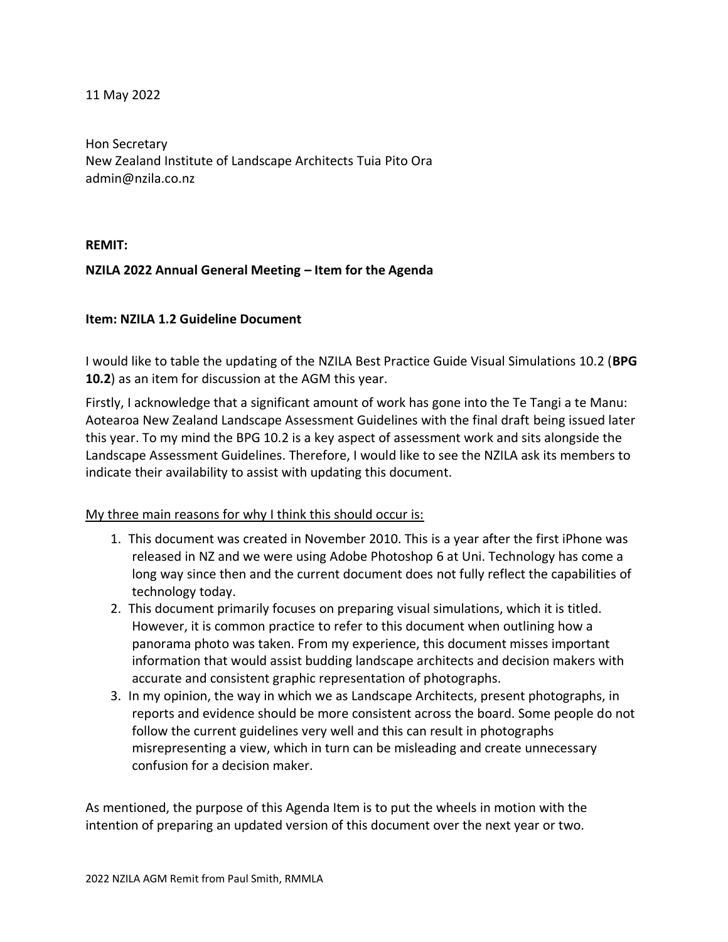11 May 2022

Hon Secretary New Zealand Institute of Landscape Architects Tuia Pito Ora admin@nzila.co.nz

**REMIT:**

## **NZILA 2022 Annual General Meeting – Item for the Agenda**

## **Item: NZILA 1.2 Guideline Document**

I would like to table the updating of the NZILA Best Practice Guide Visual Simulations 10.2 (**BPG 10.2**) as an item for discussion at the AGM this year.

Firstly, I acknowledge that a significant amount of work has gone into the Te Tangi a te Manu: Aotearoa New Zealand Landscape Assessment Guidelines with the final draft being issued later this year. To my mind the BPG 10.2 is a key aspect of assessment work and sits alongside the Landscape Assessment Guidelines. Therefore, I would like to see the NZILA ask its members to indicate their availability to assist with updating this document.

## My three main reasons for why I think this should occur is:

- 1. This document was created in November 2010. This is a year after the first iPhone was released in NZ and we were using Adobe Photoshop 6 at Uni. Technology has come a long way since then and the current document does not fully reflect the capabilities of technology today.
- 2. This document primarily focuses on preparing visual simulations, which it is titled. However, it is common practice to refer to this document when outlining how a panorama photo was taken. From my experience, this document misses important information that would assist budding landscape architects and decision makers with accurate and consistent graphic representation of photographs.
- 3. In my opinion, the way in which we as Landscape Architects, present photographs, in reports and evidence should be more consistent across the board. Some people do not follow the current guidelines very well and this can result in photographs misrepresenting a view, which in turn can be misleading and create unnecessary confusion for a decision maker.

As mentioned, the purpose of this Agenda Item is to put the wheels in motion with the intention of preparing an updated version of this document over the next year or two.